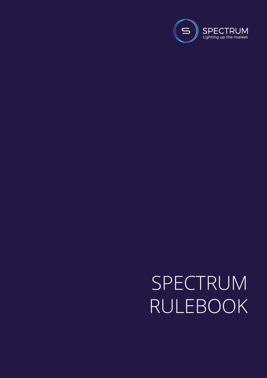

# SPECTRUM RULEBOOK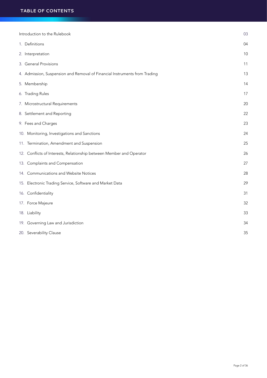| Introduction to the Rulebook                                               | 03 |
|----------------------------------------------------------------------------|----|
| 1. Definitions                                                             | 04 |
| 2. Interpretation                                                          | 10 |
| 3. General Provisions                                                      | 11 |
| 4. Admission, Suspension and Removal of Financial Instruments from Trading | 13 |
| 5. Membership                                                              | 14 |
| 6. Trading Rules                                                           | 17 |
| 7. Microstructural Requirements                                            | 20 |
| 8. Settlement and Reporting                                                | 22 |
| 9. Fees and Charges                                                        | 23 |
| 10. Monitoring, Investigations and Sanctions                               | 24 |
| 11. Termination, Amendment and Suspension                                  | 25 |
| 12. Conflicts of Interests, Relationship between Member and Operator       | 26 |
| 13. Complaints and Compensation                                            | 27 |
| 14. Communications and Website Notices                                     | 28 |
| 15. Electronic Trading Service, Software and Market Data                   | 29 |
| 16. Confidentiality                                                        | 31 |
| 17. Force Majeure                                                          | 32 |
| 18. Liability                                                              | 33 |
| 19. Governing Law and Jurisdiction                                         | 34 |
| 20. Severability Clause                                                    | 35 |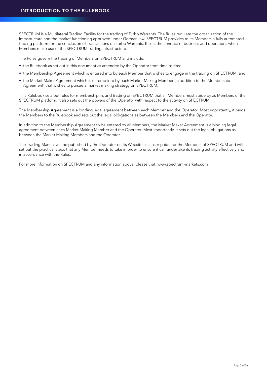SPECTRUM is a Multilateral Trading Facility for the trading of Turbo Warrants. The Rules regulate the organization of the infrastructure and the market functioning approved under German law. SPECTRUM provides to its Members a fully automated trading platform for the conclusion of Transactions on Turbo Warrants. It sets the conduct of business and operations when Members make use of the SPECTRUM trading infrastructure.

The Rules govern the trading of Members on SPECTRUM and include:

- the Rulebook as set out in this document as amended by the Operator from time to time;
- the Membership Agreement which is entered into by each Member that wishes to engage in the trading on SPECTRUM; and
- the Market Maker Agreement which is entered into by each Market Making Member (in addition to the Membership Agreement) that wishes to pursue a market making strategy on SPECTRUM.

This Rulebook sets out rules for membership in, and trading on SPECTRUM that all Members must abide by as Members of the SPECTRUM platform. It also sets out the powers of the Operator with respect to the activity on SPECTRUM.

The Membership Agreement is a binding legal agreement between each Member and the Operator. Most importantly, it binds the Members to the Rulebook and sets out the legal obligations as between the Members and the Operator.

In addition to the Membership Agreement to be entered by all Members, the Market Maker Agreement is a binding legal agreement between each Market Making Member and the Operator. Most importantly, it sets out the legal obligations as between the Market Making Members and the Operator.

The Trading Manual will be published by the Operator on its Website as a user guide for the Members of SPECTRUM and will set out the practical steps that any Member needs to take in order to ensure it can undertake its trading activity effectively and in accordance with the Rules.

For more information on SPECTRUM and any information above, please visit, www.spectrum-markets.com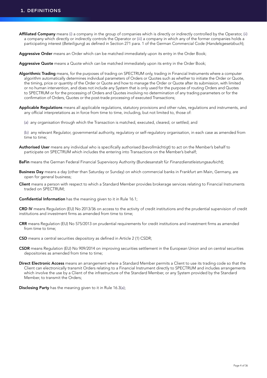- Affiliated Company means (i) a company in the group of companies which is directly or indirectly controlled by the Operator, (ii) a company which directly or indirectly controls the Operator or (iii) a company in which any of the former companies holds a participating interest (*Beteiligung*) as defined in Section 271 para. 1 of the German Commercial Code (*Handelsgesetzbuch*);
- Aggressive Order means an Order which can be matched immediately upon its entry in the Order Book;
- Aggressive Quote means a Quote which can be matched immediately upon its entry in the Order Book;
- Algorithmic Trading means, for the purposes of trading on SPECTRUM only, trading in Financial Instruments where a computer algorithm automatically determines individual parameters of Orders or Quotes such as whether to initiate the Order or Quote, the timing, price or quantity of the Order or Quote and how to manage the Order or Quote after its submission, with limited or no human intervention, and does not include any System that is only used for the purpose of routing Orders and Quotes to SPECTRUM or for the processing of Orders and Quotes involving no determination of any trading parameters or for the confirmation of Orders, Quotes or the post-trade processing of executed Transactions;
- Applicable Regulations means all applicable regulations, statutory provisions and other rules, regulations and instruments, and any official interpretations as in force from time to time, including, but not limited to, those of:
	- (a) any organisation through which the Transaction is matched, executed, cleared, or settled; and

 (b) any relevant Regulator, governmental authority, regulatory or self-regulatory organisation, in each case as amended from time to time;

- Authorised User means any individual who is specifically authorised (bevollmächtigt) to act on the Member's behalf to participate on SPECTRUM which includes the entering into Transactions on the Member's behalf;
- BaFin means the German Federal Financial Supervisory Authority (Bundesanstalt für *Finanzdienstleistungsaufsicht*);
- Business Day means a day (other than Saturday or Sunday) on which commercial banks in Frankfurt am Main, Germany, are open for general business;
- Client means a person with respect to which a Standard Member provides brokerage services relating to Financial Instruments traded on SPECTRUM;
- Confidential Information has the meaning given to it in Rule 16.1;

CRD IV means Regulation (EU) No 2013/36 on access to the activity of credit institutions and the prudential supervision of credit institutions and investment firms as amended from time to time;

- CRR means Regulation (EU) No 575/2013 on prudential requirements for credit institutions and investment firms as amended from time to time:
- CSD means a central securities depository as defined in Article 2 (1) CSDR;
- CSDR means Regulation (EU) No 909/2014 on improving securities settlement in the European Union and on central securities depositories as amended from time to time;
- Direct Electronic Access means an arrangement where a Standard Member permits a Client to use its trading code so that the Client can electronically transmit Orders relating to a Financial Instrument directly to SPECTRUM and includes arrangements which involve the use by a Client of the infrastructure of the Standard Member, or any System provided by the Standard Member, to transmit the Orders;

Disclosing Party has the meaning given to it in Rule 16.3(a);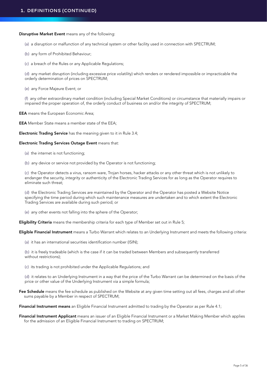Disruptive Market Event means any of the following:

- (a) a disruption or malfunction of any technical system or other facility used in connection with SPECTRUM;
- (b) any form of Prohibited Behaviour;
- (c) a breach of the Rules or any Applicable Regulations;
- (d) any market disruption (including excessive price volatility) which renders or rendered impossible or impracticable the orderly determination of prices on SPECTRUM;
- (e) any Force Majeure Event; or

 (f) any other extraordinary market condition (including Special Market Conditions) or circumstance that materially impairs or impaired the proper operation of, the orderly conduct of business on and/or the integrity of SPECTRUM;

EEA means the European Economic Area;

**EEA** Member State means a member state of the EEA;

Electronic Trading Service has the meaning given to it in Rule 3.4;

#### Electronic Trading Services Outage Event means that:

- (a) the internet is not functioning;
- (b) any device or service not provided by the Operator is not functioning;

 (c) the Operator detects a virus, ransom ware, Trojan horses, hacker attacks or any other threat which is not unlikely to endanger the security, integrity or authenticity of the Electronic Trading Services for as long as the Operator requires to eliminate such threat;

 (d) the Electronic Trading Services are maintained by the Operator and the Operator has posted a Website Notice specifying the time period during which such maintenance measures are undertaken and to which extent the Electronic Trading Services are available during such period; or

(e) any other events not falling into the sphere of the Operator;

Eligibility Criteria means the membership criteria for each type of Member set out in Rule 5;

Eligible Financial Instrument means a Turbo Warrant which relates to an Underlying Instrument and meets the following criteria:

(a) it has an international securities identification number (ISIN);

 (b) it is freely tradeable (which is the case if it can be traded between Members and subsequently transferred without restrictions);

(c) its trading is not prohibited under the Applicable Regulations; and

 (d) it relates to an Underlying Instrument in a way that the price of the Turbo Warrant can be determined on the basis of the price or other value of the Underlying Instrument via a simple formula;

Fee Schedule means the fee schedule as published on the Website at any given time setting out all fees, charges and all other sums payable by a Member in respect of SPECTRUM;

Financial Instrument means an Eligible Financial Instrument admitted to trading by the Operator as per Rule 4.1;

Financial Instrument Applicant means an issuer of an Eligible Financial Instrument or a Market Making Member which applies for the admission of an Eligible Financial Instrument to trading on SPECTRUM;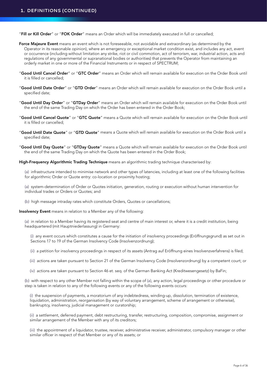"Fill or Kill Order" or "FOK Order" means an Order which will be immediately executed in full or cancelled;

- Force Majeure Event means an event which is not foreseeable, not avoidable and extraordinary (as determined by the Operator in its reasonable opinion), where an emergency or exceptional market condition exist, and includes any act, event or occurrence (including without limitation any strike, riot or civil commotion, act of terrorism, war, industrial action, acts and regulations of any governmental or supranational bodies or authorities) that prevents the Operator from maintaining an orderly market in one or more of the Financial Instruments or in respect of SPECTRUM;
- "Good Until Cancel Order" or "GTC Order" means an Order which will remain available for execution on the Order Book until it is filled or cancelled;
- "Good Until Date Order" or "GTD Order" means an Order which will remain available for execution on the Order Book until a specified date;
- "Good Until Day Order" or "GTDay Order" means an Order which will remain available for execution on the Order Book until the end of the same Trading Day on which the Order has been entered in the Order Book;
- "Good Until Cancel Quote" or "GTC Quote" means a Quote which will remain available for execution on the Order Book until it is filled or cancelled;
- "Good Until Date Quote" or "GTD Quote" means a Quote which will remain available for execution on the Order Book until a specified date;
- "Good Until Day Quote" or "GTDay Quote" means a Quote which will remain available for execution on the Order Book until the end of the same Trading Day on which the Quote has been entered in the Order Book;

High-Frequency Algorithmic Trading Technique means an algorithmic trading technique characterised by:

 (a) infrastructure intended to minimise network and other types of latencies, including at least one of the following facilities for algorithmic Order or Quote entry: co-location or proximity hosting;

 (a) system-determination of Order or Quotes initiation, generation, routing or execution without human intervention for individual trades or Orders or Quotes; and

(b) high message intraday rates which constitute Orders, Quotes or cancellations;

Insolvency Event means in relation to a Member any of the following:

 (a) in relation to a Member having its registered seat and centre of main interest or, where it is a credit institution, being headquartered (mit Hauptniederlassung) in Germany:

 (i) any event occurs which constitutes a cause for the initiation of insolvency proceedings (Eröffnungsgrund) as set out in Sections 17 to 19 of the German Insolvency Code (Insolvenzordnung);

- (ii) a petition for insolvency proceedings in respect of its assets (Antrag auf Eröffnung eines Insolvenzverfahrens) is filed;
- (iii) actions are taken pursuant to Section 21 of the German Insolvency Code (Insolvenzordnung) by a competent court; or
- (iv) actions are taken pursuant to Section 46 et. seq. of the German Banking Act (Kreditwesengesetz) by BaFin;

 (b) with respect to any other Member not falling within the scope of (a), any action, legal proceedings or other procedure or step is taken in relation to any of the following events or any of the following events occurs:

 (i) the suspension of payments, a moratorium of any indebtedness, winding-up, dissolution, termination of existence, liquidation, administration, reorganisation (by way of voluntary arrangement, scheme of arrangement or otherwise), bankruptcy, insolvency, judicial management or curatorship;

 (ii) a settlement, deferred payment, debt restructuring, transfer, restructuring, composition, compromise, assignment or similar arrangement of the Member with any of its creditors;

 (iii) the appointment of a liquidator, trustee, receiver, administrative receiver, administrator, compulsory manager or other similar officer in respect of that Member or any of its assets; or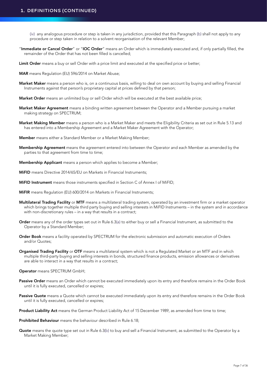(iv) any analogous procedure or step is taken in any jurisdiction, provided that this Paragraph (b) shall not apply to any procedure or step taken in relation to a solvent reorganisation of the relevant Member;

- "Immediate or Cancel Order" or "IOC Order" means an Order which is immediately executed and, if only partially filled, the remainder of the Order that has not been filled is cancelled;
- Limit Order means a buy or sell Order with a price limit and executed at the specified price or better;
- MAR means Regulation (EU) 596/2014 on Market Abuse;
- Market Maker means a person who is, on a continuous basis, willing to deal on own account by buying and selling Financial Instruments against that person's proprietary capital at prices defined by that person;
- Market Order means an unlimited buy or sell Order which will be executed at the best available price;
- Market Maker Agreement means a binding written agreement between the Operator and a Member pursuing a market making strategy on SPECTRUM;
- Market Making Member means a person who is a Market Maker and meets the Eligibility Criteria as set out in Rule 5.13 and has entered into a Membership Agreement and a Market Maker Agreement with the Operator;
- Member means either a Standard Member or a Market Making Member;
- Membership Agreement means the agreement entered into between the Operator and each Member as amended by the parties to that agreement from time to time;
- Membership Applicant means a person which applies to become a Member;
- **MIFID** means Directive 2014/65/EU on Markets in Financial Instruments:
- MiFID Instrument means those instruments specified in Section C of Annex I of MiFID;
- MiFIR means Regulation (EU) 600/2014 on Markets in Financial Instruments;
- Multilateral Trading Facility or MTF means a multilateral trading system, operated by an investment firm or a market operator which brings together multiple third party buying and selling interests in MiFID Instruments – in the system and in accordance with non-discretionary rules – in a way that results in a contract;
- Order means any of the order types set out in Rule 6.3(a) to either buy or sell a Financial Instrument, as submitted to the Operator by a Standard Member;
- Order Book means a facility operated by SPECTRUM for the electronic submission and automatic execution of Orders and/or Quotes;
- Organised Trading Facility or OTF means a multilateral system which is not a Regulated Market or an MTF and in which multiple third-party buying and selling interests in bonds, structured finance products, emission allowances or derivatives are able to interact in a way that results in a contract;

#### Operator means SPECTRUM GmbH;

- Passive Order means an Order which cannot be executed immediately upon its entry and therefore remains in the Order Book until it is fully executed, cancelled or expires;
- Passive Quote means a Quote which cannot be executed immediately upon its entry and therefore remains in the Order Book until it is fully executed, cancelled or expires;
- Product Liability Act means the German Product Liability Act of 15 December 1989, as amended from time to time;
- Prohibited Behaviour means the behaviour described in Rule 6.18;
- Quote means the quote type set out in Rule 6.3(b) to buy and sell a Financial Instrument, as submitted to the Operator by a Market Making Member;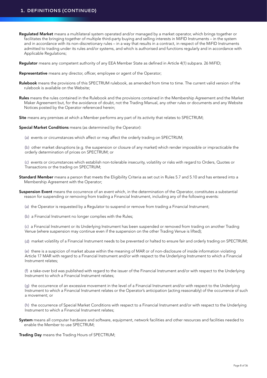# **1. DEFINITIONS (CONTINUED)**

Requlated Market means a multilateral system operated and/or managed by a market operator, which brings together or facilitates the bringing together of multiple third-party buying and selling interests in MiFID Instruments – in the system and in accordance with its non-discretionary rules – in a way that results in a contract, in respect of the MiFID Instruments admitted to trading under its rules and/or systems, and which is authorised and functions regularly and in accordance with Applicable Regulations;

Requlator means any competent authority of any EEA Member State as defined in Article 4(1) subpara. 26 MiFID;

- Representative means any director, officer, employee or agent of the Operator;
- Rulebook means the provisions of this SPECTRUM rulebook, as amended from time to time. The current valid version of the rulebook is available on the Website;
- Rules means the rules contained in the Rulebook and the provisions contained in the Membership Agreement and the Market Maker Agreement but, for the avoidance of doubt, not the Trading Manual, any other rules or documents and any Website Notices posted by the Operator referenced herein;

Site means any premises at which a Member performs any part of its activity that relates to SPECTRUM;

Special Market Conditions means (as determined by the Operator):

(a) events or circumstances which affect or may affect the orderly trading on SPECTRUM;

 (b) other market disruptions (e.g. the suspension or closure of any market) which render impossible or impracticable the orderly determination of prices on SPECTRUM; or

 (c) events or circumstances which establish non-tolerable insecurity, volatility or risks with regard to Orders, Quotes or Transactions or the trading on SPECTRUM;

- Standard Member means a person that meets the Eligibility Criteria as set out in Rules 5.7 and 5.10 and has entered into a Membership Agreement with the Operator;
- Suspension Event means the occurrence of an event which, in the determination of the Operator, constitutes a substantial reason for suspending or removing from trading a Financial Instrument, including any of the following events:
	- (a) the Operator is requested by a Regulator to suspend or remove from trading a Financial Instrument;
	- (b) a Financial Instrument no longer complies with the Rules;

 (c) a Financial Instrument or its Underlying Instrument has been suspended or removed from trading on another Trading Venue (where suspension may continue even if the suspension on the other Trading Venue is lifted);

(d) market volatility of a Financial Instrument needs to be prevented or halted to ensure fair and orderly trading on SPECTRUM;

 (e) there is a suspicion of market abuse within the meaning of MAR or of non-disclosure of inside information violating Article 17 MAR with regard to a Financial Instrument and/or with respect to the Underlying Instrument to which a Financial Instrument relates;

 (f) a take-over bid was published with regard to the issuer of the Financial Instrument and/or with respect to the Underlying Instrument to which a Financial Instrument relates;

 (g) the occurrence of an excessive movement in the level of a Financial Instrument and/or with respect to the Underlying Instrument to which a Financial Instrument relates or the Operator's anticipation (acting reasonably) of the occurrence of such a movement; or

 (h) the occurrence of Special Market Conditions with respect to a Financial Instrument and/or with respect to the Underlying Instrument to which a Financial Instrument relates;

System means all computer hardware and software, equipment, network facilities and other resources and facilities needed to enable the Member to use SPECTRUM;

Trading Day means the Trading Hours of SPECTRUM;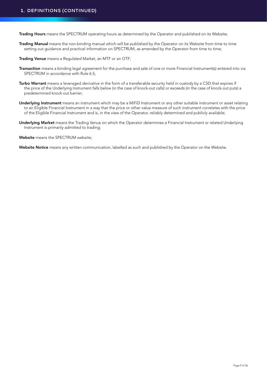Trading Hours means the SPECTRUM operating hours as determined by the Operator and published on its Website;

Trading Manual means the non-binding manual which will be published by the Operator on its Website from time to time setting out guidance and practical information on SPECTRUM, as amended by the Operator from time to time;

Trading Venue means a Regulated Market, an MTF or an OTF;

- Transaction means a binding legal agreement for the purchase and sale of one or more Financial Instrument(s) entered into via SPECTRUM in accordance with Rule 6.5;
- Turbo Warrant means a leveraged derivative in the form of a transferable security held in custody by a CSD that expires if the price of the Underlying Instrument falls below (in the case of knock-out calls) or exceeds (in the case of knock-out puts) a predetermined knock-out barrier;
- Underlying Instrument means an instrument which may be a MiFiD Instrument or any other suitable instrument or asset relating to an Eligible Financial Instrument in a way that the price or other value measure of such instrument correlates with the price of the Eligible Financial Instrument and is, in the view of the Operator, reliably determined and publicly available;
- Underlying Market means the Trading Venue on which the Operator determines a Financial Instrument or related Underlying Instrument is primarily admitted to trading;

Website means the SPECTRUM website;

Website Notice means any written communication, labelled as such and published by the Operator on the Website.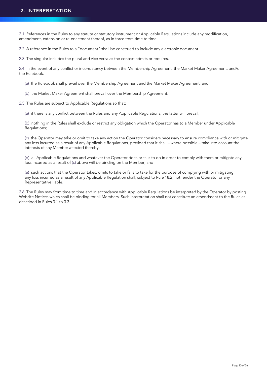2.1 References in the Rules to any statute or statutory instrument or Applicable Regulations include any modification, amendment, extension or re-enactment thereof, as in force from time to time.

2.2 A reference in the Rules to a "document" shall be construed to include any electronic document.

2.3 The singular includes the plural and vice versa as the context admits or requires.

2.4 In the event of any conflict or inconsistency between the Membership Agreement, the Market Maker Agreement, and/or the Rulebook:

(a) the Rulebook shall prevail over the Membership Agreement and the Market Maker Agreement; and

(b) the Market Maker Agreement shall prevail over the Membership Agreement.

2.5 The Rules are subject to Applicable Regulations so that:

(a) if there is any conflict between the Rules and any Applicable Regulations, the latter will prevail;

 (b) nothing in the Rules shall exclude or restrict any obligation which the Operator has to a Member under Applicable Regulations;

 (c) the Operator may take or omit to take any action the Operator considers necessary to ensure compliance with or mitigate any loss incurred as a result of any Applicable Regulations, provided that it shall – where possible – take into account the interests of any Member affected thereby;

 (d) all Applicable Regulations and whatever the Operator does or fails to do in order to comply with them or mitigate any loss incurred as a result of (c) above will be binding on the Member; and

 (e) such actions that the Operator takes, omits to take or fails to take for the purpose of complying with or mitigating any loss incurred as a result of any Applicable Regulation shall, subject to Rule 18.2, not render the Operator or any Representative liable.

2.6 The Rules may from time to time and in accordance with Applicable Regulations be interpreted by the Operator by posting Website Notices which shall be binding for all Members. Such interpretation shall not constitute an amendment to the Rules as described in Rules 3.1 to 3.3.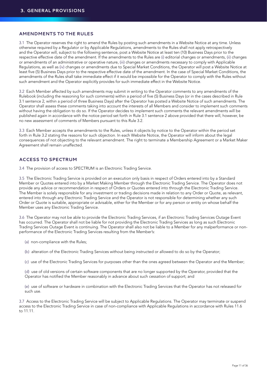#### **AMENDMENTS TO THE RULES**

3.1 The Operator reserves the right to amend the Rules by posting such amendments in a Website Notice at any time. Unless otherwise required by a Regulator or by Applicable Regulations, amendments to the Rules shall not apply retrospectively and the Operator will, subject to the following sentence, post a Website Notice at least ten (10) Business Days prior to the respective effective date of the amendment. If the amendments to the Rules are (i) editorial changes or amendments, (ii) changes or amendments of an administrative or operative nature, (iii) changes or amendments necessary to comply with Applicable Regulations, as well as (iv) changes or amendments due to Special Market Conditions, the Operator will post a Website Notice at least five (5) Business Days prior to the respective effective date of the amendment. In the case of Special Market Conditions, the amendments of the Rules shall take immediate effect if it would be impossible for the Operator to comply with the Rules without such amendment and the Operator explicitly provides for such immediate effect in the Website Notice.

3.2 Each Member affected by such amendments may submit in writing to the Operator comments to any amendments of the Rulebook (including the reasoning for such comments) within a period of five (5) Business Days (or in the cases described in Rule 3.1 sentence 2, within a period of three Business Days) after the Operator has posted a Website Notice of such amendments. The Operator shall assess these comments taking into account the interests of all Members and consider to implement such comments without having the obligation to do so. If the Operator decides to implement such comments the relevant amendments will be published again in accordance with the notice period set forth in Rule 3.1 sentence 2 above provided that there will, however, be no new assessment of comments of Members pursuant to this Rule 3.2.

3.3 Each Member accepts the amendments to the Rules, unless it objects by notice to the Operator within the period set forth in Rule 3.2 stating the reasons for such objection. In each Website Notice, the Operator will inform about the legal consequences of not objecting to the relevant amendment. The right to terminate a Membership Agreement or a Market Maker Agreement shall remain unaffected.

# **ACCESS TO SPECTRUM**

3.4 The provision of access to SPECTRUM is an Electronic Trading Service.

3.5 The Electronic Trading Service is provided on an execution only basis in respect of Orders entered into by a Standard Member or Quotes entered into by a Market Making Member through the Electronic Trading Service. The Operator does not provide any advice or recommendation in respect of Orders or Quotes entered into through the Electronic Trading Service. The Member is solely responsible for any investment or trading decisions made in relation to any Order or Quote, as relevant, entered into through any Electronic Trading Service and the Operator is not responsible for determining whether any such Order or Quote is suitable, appropriate or advisable, either for the Member or for any person or entity on whose behalf the Member uses any Electronic Trading Service.

3.6 The Operator may not be able to provide the Electronic Trading Services, if an Electronic Trading Services Outage Event has occurred. The Operator shall not be liable for not providing the Electronic Trading Services as long as such Electronic Trading Services Outage Event is continuing. The Operator shall also not be liable to a Member for any malperformance or nonperformance of the Electronic Trading Services resulting from the Member's:

- (a) non-compliance with the Rules;
- (b) alteration of the Electronic Trading Services without being instructed or allowed to do so by the Operator;
- (c) use of the Electronic Trading Services for purposes other than the ones agreed between the Operator and the Member;

 (d) use of old versions of certain software components that are no longer supported by the Operator, provided that the Operator has notified the Member reasonably in advance about such cessation of support; and

 (e) use of software or hardware in combination with the Electronic Trading Services that the Operator has not released for such use.

3.7 Access to the Electronic Trading Service will be subject to Applicable Regulations. The Operator may terminate or suspend access to the Electronic Trading Service in case of non-compliance with Applicable Regulations in accordance with Rules 11.6 to 11.11.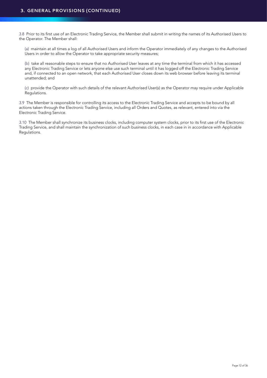3.8 Prior to its first use of an Electronic Trading Service, the Member shall submit in writing the names of its Authorised Users to the Operator. The Member shall:

 (a) maintain at all times a log of all Authorised Users and inform the Operator immediately of any changes to the Authorised Users in order to allow the Operator to take appropriate security measures;

 (b) take all reasonable steps to ensure that no Authorised User leaves at any time the terminal from which it has accessed any Electronic Trading Service or lets anyone else use such terminal until it has logged off the Electronic Trading Service and, if connected to an open network, that each Authorised User closes down its web browser before leaving its terminal unattended; and

 (c) provide the Operator with such details of the relevant Authorised User(s) as the Operator may require under Applicable Regulations.

3.9 The Member is responsible for controlling its access to the Electronic Trading Service and accepts to be bound by all actions taken through the Electronic Trading Service, including all Orders and Quotes, as relevant, entered into via the Electronic Trading Service.

3.10 The Member shall synchronize its business clocks, including computer system clocks, prior to its first use of the Electronic Trading Service, and shall maintain the synchronization of such business clocks, in each case in in accordance with Applicable Regulations.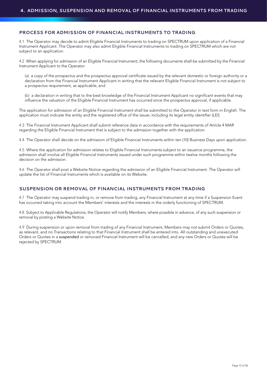# **PROCESS FOR ADMISSION OF FINANCIAL INSTRUMENTS TO TRADING**

4.1 The Operator may decide to admit Eligible Financial Instruments to trading on SPECTRUM upon application of a Financial Instrument Applicant. The Operator may also admit Eligible Financial Instruments to trading on SPECTRUM which are not subject to an application.

4.2 When applying for admission of an Eligible Financial Instrument, the following documents shall be submitted by the Financial Instrument Applicant to the Operator:

 (a) a copy of the prospectus and the prospectus approval certificate issued by the relevant domestic or foreign authority or a declaration from the Financial Instrument Applicant in writing that the relevant Eligible Financial Instrument is not subject to a prospectus requirement, as applicable; and

 (b) a declaration in writing that to the best knowledge of the Financial Instrument Applicant no significant events that may influence the valuation of the Eligible Financial Instrument has occurred since the prospectus approval, if applicable.

The application for admission of an Eligible Financial Instrument shall be submitted to the Operator in text form in English. The application must indicate the entity and the registered office of the issuer, including its legal entity identifier (LEI).

4.3 The Financial Instrument Applicant shall submit reference data in accordance with the requirements of Article 4 MAR regarding the Eligible Financial Instrument that is subject to the admission together with the application.

4.4 The Operator shall decide on the admission of Eligible Financial Instruments within ten (10) Business Days upon application.

4.5 Where the application for admission relates to Eligible Financial Instruments subject to an issuance programme, the admission shall involve all Eligible Financial Instruments issued under such programme within twelve months following the decision on the admission.

4.6 The Operator shall post a Website Notice regarding the admission of an Eligible Financial Instrument. The Operator will update the list of Financial Instruments which is available on its Website.

## **SUSPENSION OR REMOVAL OF FINANCIAL INSTRUMENTS FROM TRADING**

4.7 The Operator may suspend trading in, or remove from trading, any Financial Instrument at any time if a Suspension Event has occurred taking into account the Members' interests and the interests in the orderly functioning of SPECTRUM.

4.8 Subject to Applicable Regulations, the Operator will notify Members, where possible in advance, of any such suspension or removal by posting a Website Notice.

4.9 During suspension or upon removal from trading of any Financial Instrument, Members may not submit Orders or Quotes, as relevant, and no Transactions relating to that Financial Instrument shall be entered into. All outstanding and unexecuted Orders or Quotes in a suspended or removed Financial Instrument will be cancelled, and any new Orders or Quotes will be rejected by SPECTRUM.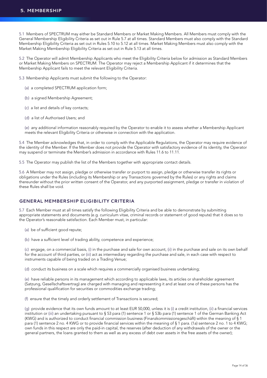5.1 Members of SPECTRUM may either be Standard Members or Market Making Members. All Members must comply with the General Membership Eligibility Criteria as set out in Rule 5.7 at all times. Standard Members must also comply with the Standard Membership Eligibility Criteria as set out in Rules 5.10 to 5.12 at all times. Market Making Members must also comply with the Market Making Membership Eligibility Criteria as set out in Rule 5.13 at all times.

5.2 The Operator will admit Membership Applicants who meet the Eligibility Criteria below for admission as Standard Members or Market Making Members on SPECTRUM. The Operator may reject a Membership Applicant if it determines that the Membership Applicant fails to meet the relevant Eligibility Criteria.

5.3 Membership Applicants must submit the following to the Operator:

- (a) a completed SPECTRUM application form;
- (b) a signed Membership Agreement;
- (c) a list and details of key contacts;
- (d) a list of Authorised Users; and

 (e) any additional information reasonably required by the Operator to enable it to assess whether a Membership Applicant meets the relevant Eligibility Criteria or otherwise in connection with the application.

5.4 The Member acknowledges that, in order to comply with the Applicable Regulations, the Operator may require evidence of the identity of the Member. If the Member does not provide the Operator with satisfactory evidence of its identity, the Operator may suspend or terminate the Member's admission in accordance with Rules 11.6 to 11.11.

5.5 The Operator may publish the list of the Members together with appropriate contact details.

5.6 A Member may not assign, pledge or otherwise transfer or purport to assign, pledge or otherwise transfer its rights or obligations under the Rules (including its Membership or any Transactions governed by the Rules) or any rights and claims thereunder without the prior written consent of the Operator, and any purported assignment, pledge or transfer in violation of these Rules shall be void.

# **GENERAL MEMBERSHIP ELIGIBILITY CRITERIA**

5.7 Each Member must at all times satisfy the following Eligibility Criteria and be able to demonstrate by submitting appropriate statements and documents (e.g. curriculum vitae, criminal records or statement of good repute) that it does so to the Operator's reasonable satisfaction. Each Member must, in particular:

- (a) be of sufficient good repute;
- (b) have a sufficient level of trading ability, competence and experience;

 (c) engage, on a commercial basis, (i) in the purchase and sale for own account, (ii) in the purchase and sale on its own behalf for the account of third parties, or (iii) act as intermediary regarding the purchase and sale, in each case with respect to instruments capable of being traded on a Trading Venue;

(d) conduct its business on a scale which requires a commercially organised business undertaking;

 (e) have reliable persons in its management which according to applicable laws, its articles or shareholder agreement (Satzung, Gesellschaftsvertrag) are charged with managing and representing it and at least one of these persons has the professional qualification for securities or commodities exchange trading;

(f) ensure that the timely and orderly settlement of Transactions is secured;

 (g) provide evidence that its own funds amount to at least EUR 50,000, unless it is (i) a credit institution, (ii) a financial services institution or (iii) an undertaking pursuant to § 53 para (1) sentence 1 or § 53b para (1) sentence 1 of the German Banking Act (KWG) and is authorized to conduct financial commission business (Finanzkommissionsgeschäft) within the meaning of § 1 para (1) sentence 2 no. 4 KWG or to provide financial services within the meaning of § 1 para. (1a) sentence 2 no. 1 to 4 KWG; own funds in this respect are only the paid-in capital, the reserves (after deduction of any withdrawals of the owner or the general partners, the loans granted to them as well as any excess of debt over assets in the free assets of the owner);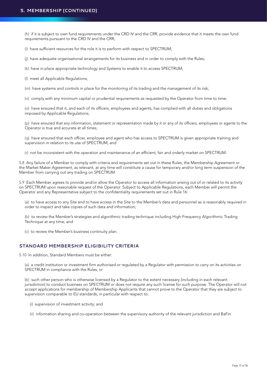(h) if it is subject to own fund requirements under the CRD IV and the CRR, provide evidence that it meets the own fund requirements pursuant to the CRD IV and the CRR;

(i) have sufficient resources for the role it is to perform with respect to SPECTRUM;

(j) have adequate organisational arrangements for its business and in order to comply with the Rules;

(k) have in place appropriate technology and Systems to enable it to access SPECTRUM;

(l) meet all Applicable Regulations;

(m) have systems and controls in place for the monitoring of its trading and the management of its risk;

(n) comply with any minimum capital or prudential requirements as requested by the Operator from time to time;

 (o) have ensured that it, and each of its officers, employees and agents, has complied with all duties and obligations imposed by Applicable Regulations;

 (p) have ensured that any information, statement or representation made by it or any of its officers, employees or agents to the Operator is true and accurate at all times;

 (q) have ensured that each officer, employee and agent who has access to SPECTRUM is given appropriate training and supervision in relation to its use of SPECTRUM; and

(r) not be inconsistent with the operation and maintenance of an efficient, fair and orderly market on SPECTRUM.

5.8 Any failure of a Member to comply with criteria and requirements set out in these Rules, the Membership Agreement or the Market Maker Agreement, as relevant, at any time will constitute a cause for temporary and/or long term suspension of the Member from carrying out any trading on SPECTRUM.

5.9 Each Member agrees to provide and/or allow the Operator to access all information arising out of or related to its activity on SPECTRUM upon reasonable request of the Operator. Subject to Applicable Regulations, each Member will permit the Operator and any Representative subject to the confidentiality requirements set out in Rule 16:

 (a) to have access to any Site and to have access in the Site to the Member's data and personnel as is reasonably required in order to inspect and take copies of such data and information;

 (b) to review the Member's strategies and algorithmic trading technique including High-Frequency Algorithmic Trading Technique at any time; and

(c) to review the Member's business continuity plan.

## **STANDARD MEMBERSHIP ELIGIBILITY CRITERIA**

5.10 In addition, Standard Members must be either:

 (a) a credit institution or investment firm authorised or regulated by a Regulator with permission to carry on its activities on SPECTRUM in compliance with the Rules; or

 (b) such other person who is otherwise licensed by a Regulator to the extent necessary (including in each relevant jurisdiction) to conduct business on SPECTRUM or does not require any such license for such purpose. The Operator will not accept applications for membership of Membership Applicants that cannot prove to the Operator that they are subject to supervision comparable to EU standards, in particular with respect to:

(i) supervision of investment activity; and

(ii) information sharing and co-operation between the supervisory authority of the relevant jurisdiction and BaFin.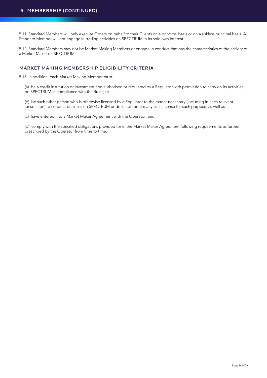5.11 Standard Members will only execute Orders on behalf of their Clients on a principal basis or on a riskless principal basis. A Standard Member will not engage in trading activities on SPECTRUM in its sole own interest.

5.12 Standard Members may not be Market Making Members or engage in conduct that has the characteristics of the activity of a Market Maker on SPECTRUM.

# **MARKET MAKING MEMBERSHIP ELIGIBILITY CRITERIA**

5.13 In addition, each Market Making Member must:

 (a) be a credit institution or investment firm authorised or regulated by a Regulator with permission to carry on its activities on SPECTRUM in compliance with the Rules; or

 (b) be such other person who is otherwise licensed by a Regulator to the extent necessary (including in each relevant jurisdiction) to conduct business on SPECTRUM or does not require any such license for such purpose; as well as

(c) have entered into a Market Maker Agreement with the Operator; and

 (d) comply with the specified obligations provided for in the Market Maker Agreement following requirements as further prescribed by the Operator from time to time.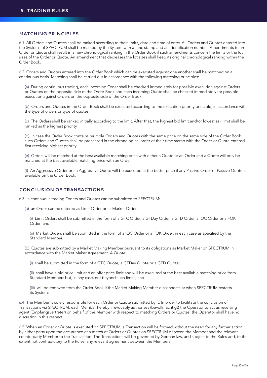## **MATCHING PRINCIPLES**

6.1 All Orders and Quotes shall be ranked according to their limits, date and time of entry. All Orders and Quotes entered into the Systems of SPECTRUM shall be marked by the System with a time stamp and an identification number. Amendments to an Order or Quote shall result in a new chronological ranking in the Order Book if such amendments concern the limits or the lot sizes of the Order or Quote. An amendment that decreases the lot sizes shall keep its original chronological ranking within the Order Book.

6.2 Orders and Quotes entered into the Order Book which can be executed against one another shall be matched on a continuous basis. Matching shall be carried out in accordance with the following matching principles:

(a) During continuous trading, each incoming Order shall be checked immediately for possible execution against Orders or Quotes on the opposite side of the Order Book and each incoming Quote shall be checked immediately for possible execution against Orders on the opposite side of the Order Book.

 (b) Orders and Quotes in the Order Book shall be executed according to the execution priority principle, in accordance with the type of orders or type of quotes.

 (c) The Orders shall be ranked initially according to the limit. After that, the highest bid limit and/or lowest ask limit shall be ranked as the highest priority.

 (d) In case the Order Book contains multiple Orders and Quotes with the same price on the same side of the Order Book such Orders and Quotes shall be processed in the chronological order of their time stamp with the Order or Quote entered first receiving highest priority.

 (e) Orders will be matched at the best available matching price with either a Quote or an Order and a Quote will only be matched at the best available matching price with an Order.

 (f) An Aggressive Order or an Aggressive Quote will be executed at the better price if any Passive Order or Passive Quote is available on the Order Book.

#### **CONCLUSION OF TRANSACTIONS**

6.3 In continuous trading Orders and Quotes can be submitted to SPECTRUM:

(a) an Order can be entered as Limit Order or as Market Order:

 (i) Limit Orders shall be submitted in the form of a GTC Order, a GTDay Order, a GTD Order, a IOC Order or a FOK Order; and

 (ii) Market Orders shall be submitted in the form of a IOC Order or a FOK Order, in each case as specified by the Standard Member.

 (b) Quotes are submitted by a Market Making Member pursuant to its obligations as Market Maker on SPECTRUM in accordance with the Market Maker Agreement. A Quote:

(i) shall be submitted in the form of a GTC Quote, a GTDay Quote or a GTD Quote;

 (ii) shall have a bid price limit and an offer price limit and will be executed at the best available matching price from Standard Members but, in any case, not beyond such limits; and

 (iii) will be removed from the Order Book if the Market Making Member disconnects or when SPECTRUM restarts its Systems.

6.4 The Member is solely responsible for each Order or Quote submitted by it. In order to facilitate the conclusion of Transactions via SPECTRUM, each Member hereby irrevocably authorises (bevollmächtigt) the Operator to act as receiving agent (Empfangsvertreter) on behalf of the Member with respect to matching Orders or Quotes; the Operator shall have no discretion in this respect.

6.5 When an Order or Quote is executed on SPECTRUM, a Transaction will be formed without the need for any further action by either party upon the occurrence of a match of Orders or Quotes on SPECTRUM between the Member and the relevant counterparty Member to the Transaction. The Transactions will be governed by German law, and subject to the Rules and, to the extent not contradictory to the Rules, any relevant agreement between the Members.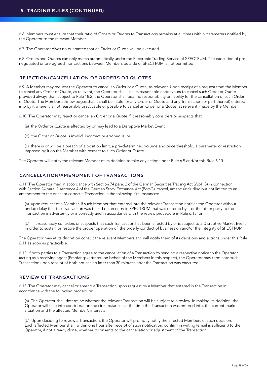6.6 Members must ensure that their ratio of Orders or Quotes to Transactions remains at all times within parameters notified by the Operator to the relevant Member.

6.7 The Operator gives no guarantee that an Order or Quote will be executed.

6.8 Orders and Quotes can only match automatically under the Electronic Trading Service of SPECTRUM. The execution of prenegotiated or pre-agreed Transactions between Members outside of SPECTRUM is not permitted.

## **REJECTION/CANCELLATION OF ORDERS OR QUOTES**

6.9 A Member may request the Operator to cancel an Order or a Quote, as relevant. Upon receipt of a request from the Member to cancel any Order or Quote, as relevant, the Operator shall use its reasonable endeavours to cancel such Order or Quote provided always that, subject to Rule 18.2, the Operator shall bear no responsibility or liability for the cancellation of such Order or Quote. The Member acknowledges that it shall be liable for any Order or Quote and any Transaction (or part thereof) entered into by it where it is not reasonably practicable or possible to cancel an Order or a Quote, as relevant, made by the Member.

6.10 The Operator may reject or cancel an Order or a Quote if it reasonably considers or suspects that:

- (a) the Order or Quote is affected by or may lead to a Disruptive Market Event;
- (b) the Order or Quote is invalid, incorrect or erroneous; or

 (c) there is or will be a breach of a position limit, a pre-determined volume and price threshold, a parameter or restriction imposed by it on the Member with respect to such Order or Quote.

The Operator will notify the relevant Member of its decision to take any action under Rule 6.9 and/or this Rule 6.10.

# **CANCELLATION/AMENDMENT OF TRANSACTIONS**

6.11 The Operator may, in accordance with Section 74 para. 2 of the German Securities Trading Act (WpHG) in connection with Section 24 para. 2 sentence 4 of the German Stock Exchange Act (BörsG), cancel, amend (including but not limited to an amendment to the price) or correct a Transaction in the following circumstances:

 (a) upon request of a Member, if such Member that entered into the relevant Transaction notifies the Operator without undue delay that the Transaction was based on an entry in SPECTRUM that was entered by it or the other party to the Transaction inadvertently or incorrectly and in accordance with the review procedure in Rule 6.13; or

 (b) if it reasonably considers or suspects that such Transaction has been affected by or is subject to a Disruptive Market Event in order to sustain or restore the proper operation of, the orderly conduct of business on and/or the integrity of SPECTRUM.

The Operator may at its discretion consult the relevant Members and will notify them of its decisions and actions under this Rule 6.11 as soon as practicable.

6.12 If both parties to a Transaction agree to the cancellation of a Transaction by sending a respective notice to the Operator (acting as a receiving agent (Empfangsvertreter) on behalf of the Members in this respect), the Operator may terminate such Transaction upon receipt of both notices no later than 30 minutes after the Transaction was executed.

## **REVIEW OF TRANSACTIONS**

6.13 The Operator may cancel or amend a Transaction upon request by a Member that entered in the Transaction in accordance with the following procedure:

 (a) The Operator shall determine whether the relevant Transaction will be subject to a review. In making its decision, the Operator will take into consideration the circumstances at the time the Transaction was entered into, the current market situation and the affected Member's interests.

 (b) Upon deciding to review a Transaction, the Operator will promptly notify the affected Members of such decision. Each affected Member shall, within one hour after receipt of such notification, confirm in writing (email is sufficient) to the Operator, if not already done, whether it consents to the cancellation or adjustment of the Transaction.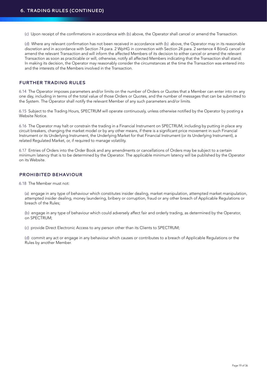(c) Upon receipt of the confirmations in accordance with (b) above, the Operator shall cancel or amend the Transaction.

 (d) Where any relevant confirmation has not been received in accordance with (b) above, the Operator may in its reasonable discretion and in accordance with Section 74 para. 2 WpHG in connection with Section 24 para. 2 sentence 4 BörsG cancel or amend the relevant Transaction and will inform the affected Members of its decision to either cancel or amend the relevant Transaction as soon as practicable or will, otherwise, notify all affected Members indicating that the Transaction shall stand. In making its decision, the Operator may reasonably consider the circumstances at the time the Transaction was entered into and the interests of the Members involved in the Transaction.

## **FURTHER TRADING RULES**

6.14 The Operator imposes parameters and/or limits on the number of Orders or Quotes that a Member can enter into on any one day, including in terms of the total value of those Orders or Quotes, and the number of messages that can be submitted to the System. The Operator shall notify the relevant Member of any such parameters and/or limits.

6.15 Subject to the Trading Hours, SPECTRUM will operate continuously, unless otherwise notified by the Operator by posting a Website Notice.

6.16 The Operator may halt or constrain the trading in a Financial Instrument on SPECTRUM, including by putting in place any circuit breakers, changing the market model or by any other means, if there is a significant price movement in such Financial Instrument or its Underlying Instrument, the Underlying Market for that Financial Instrument (or its Underlying Instrument), a related Regulated Market, or, if required to manage volatility.

6.17 Entries of Orders into the Order Book and any amendments or cancellations of Orders may be subject to a certain minimum latency that is to be determined by the Operator. The applicable minimum latency will be published by the Operator on its Website.

#### **PROHIBITED BEHAVIOUR**

6.18 The Member must not:

 (a) engage in any type of behaviour which constitutes insider dealing, market manipulation, attempted market manipulation, attempted insider dealing, money laundering, bribery or corruption, fraud or any other breach of Applicable Regulations or breach of the Rules;

 (b) engage in any type of behaviour which could adversely affect fair and orderly trading, as determined by the Operator, on SPECTRUM;

(c) provide Direct Electronic Access to any person other than its Clients to SPECTRUM;

(d) commit any act or engage in any behaviour which causes or contributes to a breach of Applicable Regulations or the Rules by another Member.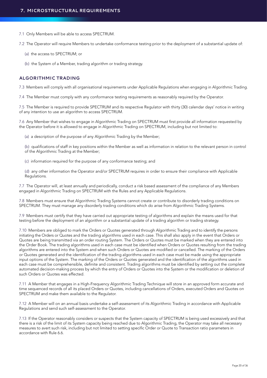- 7.1 Only Members will be able to access SPECTRUM.
- 7.2 The Operator will require Members to undertake conformance testing prior to the deployment of a substantial update of:
	- (a) the access to SPECTRUM; or
	- (b) the System of a Member, trading algorithm or trading strategy.

#### **ALGORITHMIC TRADING**

7.3 Members will comply with all organisational requirements under Applicable Regulations when engaging in Algorithmic Trading.

7.4 The Member must comply with any conformance testing requirements as reasonably required by the Operator.

7.5 The Member is required to provide SPECTRUM and its respective Regulator with thirty (30) calendar days' notice in writing of any intention to use an algorithm to access SPECTRUM.

7.6 Any Member that wishes to engage in Algorithmic Trading on SPECTRUM must first provide all information requested by the Operator before it is allowed to engage in Algorithmic Trading on SPECTRUM, including but not limited to:

(a) a description of the purpose of any Algorithmic Trading by the Member;

(b) qualifications of staff in key positions within the Member as well as information in relation to the relevant person in control of the Algorithmic Trading at the Member;

- (c) information required for the purpose of any conformance testing; and
- (d) any other information the Operator and/or SPECTRUM requires in order to ensure their compliance with Applicable Regulations.

7.7 The Operator will, at least annually and periodically, conduct a risk based assessment of the compliance of any Members engaged in Algorithmic Trading on SPECTRUM with the Rules and any Applicable Regulations.

7.8 Members must ensure that Algorithmic Trading Systems cannot create or contribute to disorderly trading conditions on SPECTRUM. They must manage any disorderly trading conditions which do arise from Algorithmic Trading Systems.

7.9 Members must certify that they have carried out appropriate testing of algorithms and explain the means used for that testing before the deployment of an algorithm or a substantial update of a trading algorithm or trading strategy.

7.10 Members are obliged to mark the Orders or Quotes generated through Algorithmic Trading and to identify the persons initiating the Orders or Quotes and the trading algorithms used in each case. This shall also apply in the event that Orders or Quotes are being transmitted via an order routing System. The Orders or Quotes must be marked when they are entered into the Order Book. The trading algorithms used in each case must be identified when Orders or Quotes resulting from the trading algorithms are entered into the System and when such Orders or Quotes are modified or cancelled. The marking of the Orders or Quotes generated and the identification of the trading algorithms used in each case must be made using the appropriate input options of the System. The marking of the Orders or Quotes generated and the identification of the algorithms used in each case must be comprehensible, definite and consistent. Trading algorithms must be identified by setting out the complete automated decision-making process by which the entry of Orders or Quotes into the System or the modification or deletion of such Orders or Quotes was effected.

7.11 A Member that engages in a High-Frequency Algorithmic Trading Technique will store in an approved form accurate and time sequenced records of all its placed Orders or Quotes, including cancellations of Orders, executed Orders and Quotes on SPECTRUM and make them available to the Regulator.

7.12 A Member will on an annual basis undertake a self-assessment of its Algorithmic Trading in accordance with Applicable Regulations and send such self-assessment to the Operator.

7.13 If the Operator reasonably considers or suspects that the System capacity of SPECTRUM is being used excessively and that there is a risk of the limit of its System capacity being reached due to Algorithmic Trading, the Operator may take all necessary measures to avert such risk, including but not limited to setting specific Order or Quote to Transaction ratio parameters in accordance with Rule 6.6.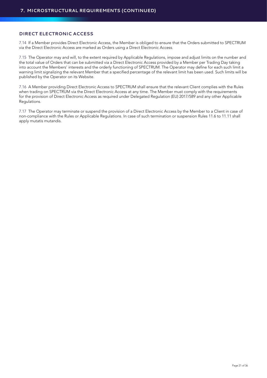# **DIRECT ELECTRONIC ACCESS**

7.14 If a Member provides Direct Electronic Access, the Member is obliged to ensure that the Orders submitted to SPECTRUM via the Direct Electronic Access are marked as Orders using a Direct Electronic Access.

7.15 The Operator may and will, to the extent required by Applicable Regulations, impose and adjust limits on the number and the total value of Orders that can be submitted via a Direct Electronic Access provided by a Member per Trading Day taking into account the Members' interests and the orderly functioning of SPECTRUM. The Operator may define for each such limit a warning limit signalizing the relevant Member that a specified percentage of the relevant limit has been used. Such limits will be published by the Operator on its Website.

7.16 A Member providing Direct Electronic Access to SPECTRUM shall ensure that the relevant Client complies with the Rules when trading on SPECTRUM via the Direct Electronic Access at any time. The Member must comply with the requirements for the provision of Direct Electronic Access as required under Delegated Regulation (EU) 2017/589 and any other Applicable Requlations.

7.17 The Operator may terminate or suspend the provision of a Direct Electronic Access by the Member to a Client in case of non-compliance with the Rules or Applicable Regulations. In case of such termination or suspension Rules 11.6 to 11.11 shall apply mutatis mutandis.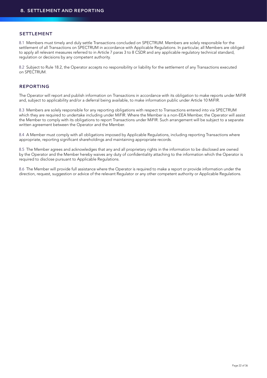#### **SETTLEMENT**

8.1 Members must timely and duly settle Transactions concluded on SPECTRUM. Members are solely responsible for the settlement of all Transactions on SPECTRUM in accordance with Applicable Regulations. In particular, all Members are obliged to apply all relevant measures referred to in Article 7 paras 3 to 8 CSDR and any applicable regulatory technical standard, regulation or decisions by any competent authority.

8.2 Subject to Rule 18.2, the Operator accepts no responsibility or liability for the settlement of any Transactions executed on SPECTRUM.

# **REPORTING**

The Operator will report and publish information on Transactions in accordance with its obligation to make reports under MiFIR and, subject to applicability and/or a deferral being available, to make information public under Article 10 MiFIR.

8.3 Members are solely responsible for any reporting obligations with respect to Transactions entered into via SPECTRUM which they are required to undertake including under MiFIR. Where the Member is a non-EEA Member, the Operator will assist the Member to comply with its obligations to report Transactions under MiFIR. Such arrangement will be subject to a separate written agreement between the Operator and the Member.

8.4 A Member must comply with all obligations imposed by Applicable Regulations, including reporting Transactions where appropriate, reporting significant shareholdings and maintaining appropriate records.

8.5 The Member agrees and acknowledges that any and all proprietary rights in the information to be disclosed are owned by the Operator and the Member hereby waives any duty of confidentiality attaching to the information which the Operator is required to disclose pursuant to Applicable Regulations.

8.6 The Member will provide full assistance where the Operator is required to make a report or provide information under the direction, request, suggestion or advice of the relevant Regulator or any other competent authority or Applicable Regulations.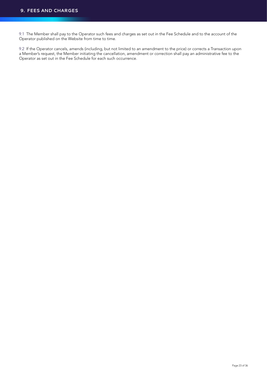9.1 The Member shall pay to the Operator such fees and charges as set out in the Fee Schedule and to the account of the Operator published on the Website from time to time.

9.2 If the Operator cancels, amends (including, but not limited to an amendment to the price) or corrects a Transaction upon a Member's request, the Member initiating the cancellation, amendment or correction shall pay an administrative fee to the Operator as set out in the Fee Schedule for each such occurrence.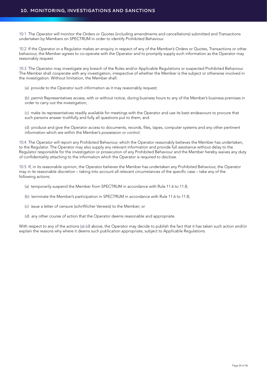# **10. MONITORING, INVESTIGATIONS AND SANCTIONS**

10.1 The Operator will monitor the Orders or Quotes (including amendments and cancellations) submitted and Transactions undertaken by Members on SPECTRUM in order to identify Prohibited Behaviour.

10.2 If the Operator or a Regulator makes an enquiry in respect of any of the Member's Orders or Quotes, Transactions or other behaviour, the Member agrees to co-operate with the Operator and to promptly supply such information as the Operator may reasonably request.

10.3 The Operator may investigate any breach of the Rules and/or Applicable Regulations or suspected Prohibited Behaviour. The Member shall cooperate with any investigation, irrespective of whether the Member is the subject or otherwise involved in the investigation. Without limitation, the Member shall:

(a) provide to the Operator such information as it may reasonably request;

 (b) permit Representatives access, with or without notice, during business hours to any of the Member's business premises in order to carry out the investigation;

 (c) make its representatives readily available for meetings with the Operator and use its best endeavours to procure that such persons answer truthfully and fully all questions put to them; and

 (d) produce and give the Operator access to documents, records, files, tapes, computer systems and any other pertinent information which are within the Member's possession or control.

10.4 The Operator will report any Prohibited Behaviour, which the Operator reasonably believes the Member has undertaken, to the Regulator. The Operator may also supply any relevant information and provide full assistance without delay to the Regulator responsible for the investigation or prosecution of any Prohibited Behaviour and the Member hereby waives any duty of confidentiality attaching to the information which the Operator is required to disclose.

10.5 If, in its reasonable opinion, the Operator believes the Member has undertaken any Prohibited Behaviour, the Operator may in its reasonable discretion – taking into account all relevant circumstances of the specific case – take any of the following actions:

- (a) temporarily suspend the Member from SPECTRUM in accordance with Rule 11.6 to 11.8;
- (b) terminate the Member's participation in SPECTRUM in accordance with Rule 11.6 to 11.8;
- (c) issue a letter of censure (schriftlicher Verweis) to the Member; or
- (d) any other course of action that the Operator deems reasonable and appropriate.

With respect to any of the actions (a)-(d) above, the Operator may decide to publish the fact that it has taken such action and/or explain the reasons why where it deems such publication appropriate, subject to Applicable Regulations.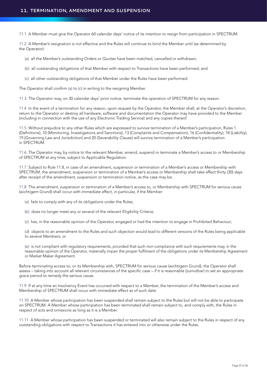11.1 A Member must give the Operator 60 calendar days' notice of its intention to resign from participation in SPECTRUM.

11.2 A Member's resignation is not effective and the Rules will continue to bind the Member until (as determined by the Operator):

- (a) all the Member's outstanding Orders or Quotes have been matched, cancelled or withdrawn;
- (b) all outstanding obligations of that Member with respect to Transactions have been performed; and
- (c) all other outstanding obligations of that Member under the Rules have been performed.

The Operator shall confirm (a) to (c) in writing to the resigning Member.

11.3 The Operator may, on 30 calendar days' prior notice, terminate the operation of SPECTRUM for any reason.

11.4 In the event of a termination for any reason, upon request by the Operator, the Member shall, at the Operator's discretion, return to the Operator or destroy all hardware, software and documentation the Operator may have provided to the Member (including in connection with the use of any Electronic Trading Service) and any copies thereof.

11.5 Without prejudice to any other Rules which are expressed to survive termination of a Member's participation, Rules 1 (Definitions), 10 (Monitoring, Investigations and Sanctions), 13 (Complaints and Compensation), 16 (Confidentiality), 18 (Liability), 19 (Governing Law and Jurisdiction) and 20 (Severability Clause) will survive termination of a Member's participation in SPECTRUM.

11.6 The Operator may, by notice to the relevant Member, amend, suspend or terminate a Member's access to or Membership of SPECTRUM at any time, subject to Applicable Regulation.

11.7 Subject to Rule 11.8, in case of an amendment, suspension or termination of a Member's access or Membership with SPECTRUM, the amendment, suspension or termination of a Member's access or Membership shall take effect thirty (30) days after receipt of the amendment, suspension or termination notice, as the case may be.

11.8 The amendment, suspension or termination of a Member's access to, or Membership with SPECTRUM for serious cause (wichtigem Grund) shall occur with immediate effect, in particular, if the Member:

- (a) fails to comply with any of its obligations under the Rules;
- (b) does no longer meet any or several of the relevant Eligibility Criteria;

(c) has, in the reasonable opinion of the Operator, engaged or had the intention to engage in Prohibited Behaviour;

 (d) objects to an amendment to the Rules and such objection would lead to different versions of the Rules being applicable to several Members; or

 (e) is not compliant with regulatory requirements, provided that such non-compliance with such requirements may, in the reasonable opinion of the Operator, materially impair the proper fulfilment of the obligations under its Membership Agreement or Market Maker Agreement.

Before terminating access to, or its Membership with, SPECTRUM for serious cause (wichtigem Grund), the Operator shall assess – taking into account all relevant circumstances of the specific case – if it is reasonable (zumutbar) to set an appropriate grace period to remedy the serious cause.

11.9 If at any time an Insolvency Event has occurred with respect to a Member, the termination of the Member's access and Membership of SPECTRUM shall occur with immediate effect as of such date.

11.10 A Member whose participation has been suspended shall remain subject to the Rules but will not be able to participate on SPECTRUM. A Member whose participation has been terminated shall remain subject to, and comply with, the Rules in respect of acts and omissions as long as it is a Member.

11.11 A Member whose participation has been suspended or terminated will also remain subject to the Rules in respect of any outstanding obligations with respect to Transactions it has entered into or otherwise under the Rules.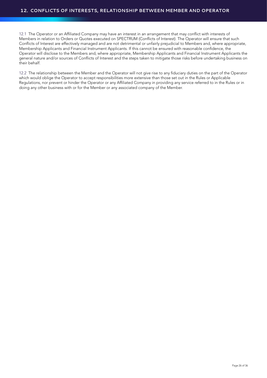12.1 The Operator or an Affiliated Company may have an interest in an arrangement that may conflict with interests of Members in relation to Orders or Quotes executed on SPECTRUM (Conflicts of Interest). The Operator will ensure that such Conflicts of Interest are effectively managed and are not detrimental or unfairly prejudicial to Members and, where appropriate, Membership Applicants and Financial Instrument Applicants. If this cannot be ensured with reasonable confidence, the Operator will disclose to the Members and, where appropriate, Membership Applicants and Financial Instrument Applicants the general nature and/or sources of Conflicts of Interest and the steps taken to mitigate those risks before undertaking business on their behalf.

12.2 The relationship between the Member and the Operator will not give rise to any fiduciary duties on the part of the Operator which would oblige the Operator to accept responsibilities more extensive than those set out in the Rules or Applicable Regulations, nor prevent or hinder the Operator or any Affiliated Company in providing any service referred to in the Rules or in doing any other business with or for the Member or any associated company of the Member.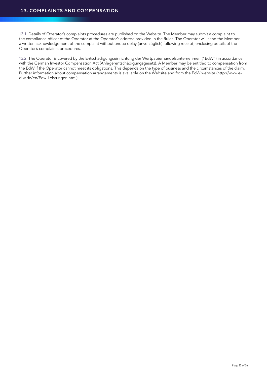13.1 Details of Operator's complaints procedures are published on the Website. The Member may submit a complaint to the compliance officer of the Operator at the Operator's address provided in the Rules. The Operator will send the Member a written acknowledgement of the complaint without undue delay (unverzüglich) following receipt, enclosing details of the Operator's complaints procedures.

13.2 The Operator is covered by the Entschädigungseinrichtung der Wertpapierhandelsunternehmen ("EdW") in accordance with the German Investor Compensation Act (Anlegerentschädigungsgesetz). A Member may be entitled to compensation from the EdW if the Operator cannot meet its obligations. This depends on the type of business and the circumstances of the claim. Further information about compensation arrangements is available on the Website and from the EdW website (http://www.ed-w.de/en/Edw-Leistungen.html).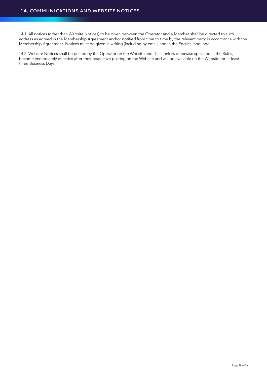14.1 All notices (other than Website Notices) to be given between the Operator and a Member shall be directed to such address as agreed in the Membership Agreement and/or notified from time to time by the relevant party in accordance with the Membership Agreement. Notices must be given in writing (including by email) and in the English language.

14.2 Website Notices shall be posted by the Operator on the Website and shall, unless otherwise specified in the Rules, become immediately effective after their respective posting on the Website and will be available on the Website for at least three Business Days.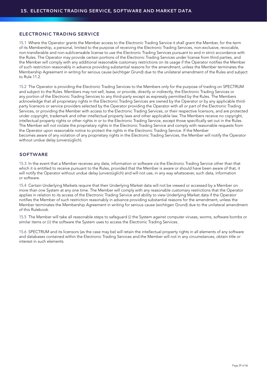## **ELECTRONIC TRADING SERVICE**

15.1 Where the Operator grants the Member access to the Electronic Trading Service it shall grant the Member, for the term of its Membership, a personal, limited to the purpose of receiving the Electronic Trading Services, non-exclusive, revocable, non-transferable and non-sublicensable license to use the Electronic Trading Services pursuant to and in strict accordance with the Rules. The Operator may provide certain portions of the Electronic Trading Services under license from third parties, and the Member will comply with any additional reasonable customary restrictions on its usage if the Operator notifies the Member of such restriction reasonably in advance providing substantial reasons for the amendment, unless the Member terminates the Membership Agreement in writing for serious cause (wichtiger Grund) due to the unilateral amendment of the Rules and subject to Rule 11.2.

15.2 The Operator is providing the Electronic Trading Services to the Members only for the purpose of trading on SPECTRUM and subject to the Rules. Members may not sell, lease, or provide, directly or indirectly, the Electronic Trading Services or any portion of the Electronic Trading Services to any third-party except as expressly permitted by the Rules. The Members acknowledge that all proprietary rights in the Electronic Trading Services are owned by the Operator or by any applicable thirdparty licensors or service providers selected by the Operator providing the Operator with all or part of the Electronic Trading Services, or providing the Member with access to the Electronic Trading Services, or their respective licensors, and are protected under copyright, trademark and other intellectual property laws and other applicable law. The Members receive no copyright, intellectual property rights or other rights in or to the Electronic Trading Service, except those specifically set out in the Rules. The Member will not violate the proprietary rights in the Electronic Trading Service and comply with reasonable requests from the Operator upon reasonable notice to protect the rights in the Electronic Trading Service. If the Member becomes aware of any violation of any proprietary rights in the Electronic Trading Services, the Member will notify the Operator without undue delay (unverzüglich).

#### **SOFTWARE**

15.3 In the event that a Member receives any data, information or software via the Electronic Trading Service other than that which it is entitled to receive pursuant to the Rules, provided that the Member is aware or should have been aware of that, it will notify the Operator without undue delay (unverzüglich) and will not use, in any way whatsoever, such data, information or software.

15.4 Certain Underlying Markets require that their Underlying Market data will not be viewed or accessed by a Member on more than one System at any one time. The Member will comply with any reasonable customary restrictions that the Operator applies in relation to its access of the Electronic Trading Service and ability to view Underlying Market data if the Operator notifies the Member of such restriction reasonably in advance providing substantial reasons for the amendment, unless the Member terminates the Membership Agreement in writing for serious cause (wichtigen Grund) due to the unilateral amendment of this Rulebook.

15.5 The Member will take all reasonable steps to safeguard (i) the System against computer viruses, worms, software bombs or similar items or (ii) the software the System uses to access the Electronic Trading Services.

15.6 SPECTRUM and its licensors (as the case may be) will retain the intellectual property rights in all elements of any software and databases contained within the Electronic Trading Services and the Member will not in any circumstances, obtain title or interest in such elements.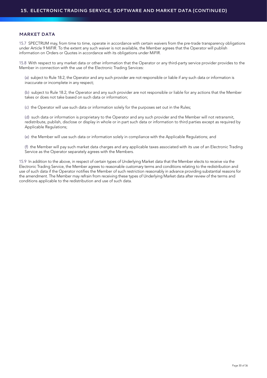#### **MARKET DATA**

15.7 SPECTRUM may, from time to time, operate in accordance with certain waivers from the pre-trade transparency obligations under Article 9 MiFIR. To the extent any such waiver is not available, the Member agrees that the Operator will publish information on Orders or Quotes in accordance with its obligations under MiFIR.

15.8 With respect to any market data or other information that the Operator or any third-party service provider provides to the Member in connection with the use of the Electronic Trading Services:

 (a) subject to Rule 18.2, the Operator and any such provider are not responsible or liable if any such data or information is inaccurate or incomplete in any respect;

 (b) subject to Rule 18.2, the Operator and any such provider are not responsible or liable for any actions that the Member takes or does not take based on such data or information;

(c) the Operator will use such data or information solely for the purposes set out in the Rules;

 (d) such data or information is proprietary to the Operator and any such provider and the Member will not retransmit, redistribute, publish, disclose or display in whole or in part such data or information to third parties except as required by Applicable Regulations;

(e) the Member will use such data or information solely in compliance with the Applicable Regulations; and

 (f) the Member will pay such market data charges and any applicable taxes associated with its use of an Electronic Trading Service as the Operator separately agrees with the Members.

15.9 In addition to the above, in respect of certain types of Underlying Market data that the Member elects to receive via the Electronic Trading Service, the Member agrees to reasonable customary terms and conditions relating to the redistribution and use of such data if the Operator notifies the Member of such restriction reasonably in advance providing substantial reasons for the amendment. The Member may refrain from receiving these types of Underlying Market data after review of the terms and conditions applicable to the redistribution and use of such data.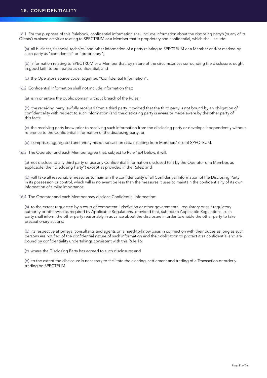16.1 For the purposes of this Rulebook, confidential information shall include information about the disclosing party's (or any of its Clients') business activities relating to SPECTRUM or a Member that is proprietary and confidential, which shall include:

 (a) all business, financial, technical and other information of a party relating to SPECTRUM or a Member and/or marked by such party as "confidential" or "proprietary";

 (b) information relating to SPECTRUM or a Member that, by nature of the circumstances surrounding the disclosure, ought in good faith to be treated as confidential; and

(c) the Operator's source code, together, "Confidential Information".

16.2 Confidential Information shall not include information that:

(a) is in or enters the public domain without breach of the Rules;

 (b) the receiving party lawfully received from a third party, provided that the third party is not bound by an obligation of confidentiality with respect to such information (and the disclosing party is aware or made aware by the other party of this fact);

 (c) the receiving party knew prior to receiving such information from the disclosing party or develops independently without reference to the Confidential Information of the disclosing party; or

(d) comprises aggregated and anonymised transaction data resulting from Members' use of SPECTRUM.

16.3 The Operator and each Member agree that, subject to Rule 16.4 below, it will:

 (a) not disclose to any third party or use any Confidential Information disclosed to it by the Operator or a Member, as applicable (the "Disclosing Party") except as provided in the Rules; and

 (b) will take all reasonable measures to maintain the confidentiality of all Confidential Information of the Disclosing Party in its possession or control, which will in no event be less than the measures it uses to maintain the confidentiality of its own information of similar importance.

16.4 The Operator and each Member may disclose Confidential Information:

 (a) to the extent requested by a court of competent jurisdiction or other governmental, regulatory or self-regulatory authority or otherwise as required by Applicable Regulations, provided that, subject to Applicable Regulations, such party shall inform the other party reasonably in advance about the disclosure in order to enable the other party to take precautionary actions;

 (b) its respective attorneys, consultants and agents on a need-to-know basis in connection with their duties as long as such persons are notified of the confidential nature of such information and their obligation to protect it as confidential and are bound by confidentiality undertakings consistent with this Rule 16;

(c) where the Disclosing Party has agreed to such disclosure; and

 (d) to the extent the disclosure is necessary to facilitate the clearing, settlement and trading of a Transaction or orderly trading on SPECTRUM.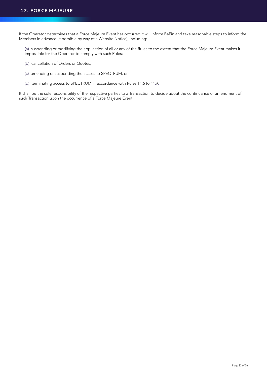If the Operator determines that a Force Majeure Event has occurred it will inform BaFin and take reasonable steps to inform the Members in advance (if possible by way of a Website Notice), including:

 (a) suspending or modifying the application of all or any of the Rules to the extent that the Force Majeure Event makes it impossible for the Operator to comply with such Rules;

- (b) cancellation of Orders or Quotes;
- (c) amending or suspending the access to SPECTRUM; or
- (d) terminating access to SPECTRUM in accordance with Rules 11.6 to 11.9.

It shall be the sole responsibility of the respective parties to a Transaction to decide about the continuance or amendment of such Transaction upon the occurrence of a Force Majeure Event.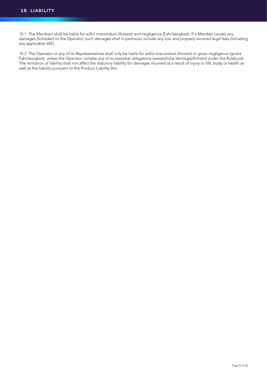18.1 The Members shall be liable for wilful misconduct (Vorsatz) and negligence (Fahrlässigkeit). If a Member causes any damages (Schäden) to the Operator, such damages shall in particular include any loss and properly incurred legal fees (including any applicable VAT).

18.2 The Operator or any of its Representatives shall only be liable for wilful misconduct (Vorsatz) or gross negligence (grobe Fahrlässigkeit), unless the Operator violates any of its essential obligations (wesentliche Vertragspflichten) under the Rulebook. The limitation of liability shall not affect the statutory liability for damages incurred as a result of injury to life, body or health as well as the liability pursuant to the Product Liability Act.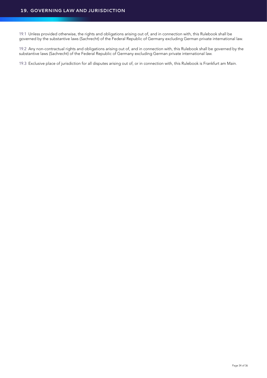19.1 Unless provided otherwise, the rights and obligations arising out of, and in connection with, this Rulebook shall be governed by the substantive laws (Sachrecht) of the Federal Republic of Germany excluding German private international law.

19.2 Any non-contractual rights and obligations arising out of, and in connection with, this Rulebook shall be governed by the substantive laws (Sachrecht) of the Federal Republic of Germany excluding German private international law.

19.3 Exclusive place of jurisdiction for all disputes arising out of, or in connection with, this Rulebook is Frankfurt am Main.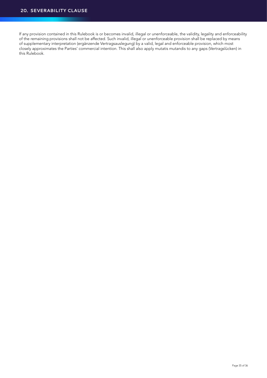If any provision contained in this Rulebook is or becomes invalid, illegal or unenforceable, the validity, legality and enforceability of the remaining provisions shall not be affected. Such invalid, illegal or unenforceable provision shall be replaced by means of supplementary interpretation (ergänzende Vertragsauslegung) by a valid, legal and enforceable provision, which most closely approximates the Parties' commercial intention. This shall also apply mutatis mutandis to any gaps (Vertragslücken) in this Rulebook.